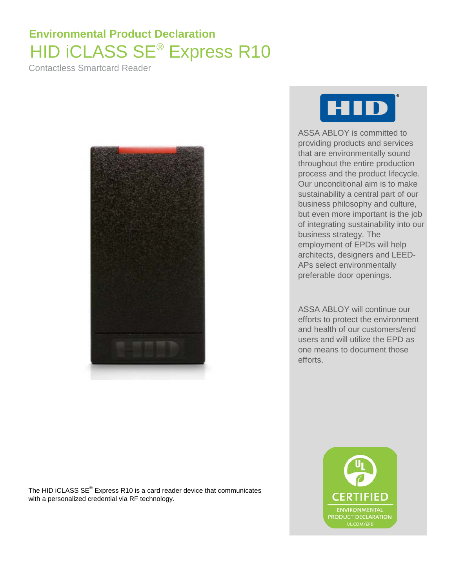## **Environmental Product Declaration** HID iCLASS SE® Express R10

Contactless Smartcard Reader





ASSA ABLOY is committed to providing products and services that are environmentally sound throughout the entire production process and the product lifecycle. Our unconditional aim is to make sustainability a central part of our business philosophy and culture, but even more important is the job of integrating sustainability into our business strategy. The employment of EPDs will help architects, designers and LEED-APs select environmentally preferable door openings.

ASSA ABLOY will continue our efforts to protect the environment and health of our customers/end users and will utilize the EPD as one means to document those efforts.

> ENVIRONMENTA **PRODUCT DECLARATION** UL.COM/EPD

The HID iCLASS SE® Express R10 is a card reader device that communicates with a personalized credential via RF technology.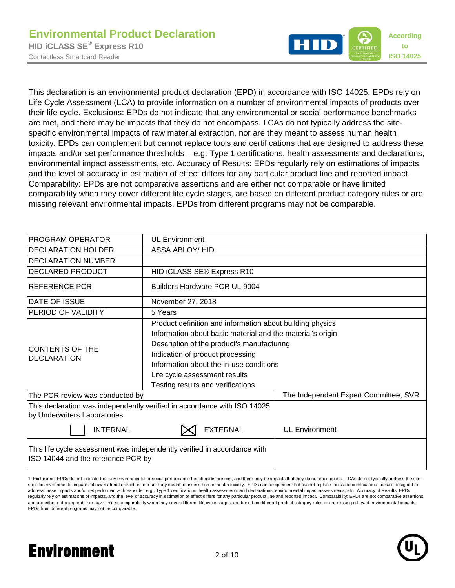

This declaration is an environmental product declaration (EPD) in accordance with ISO 14025. EPDs rely on Life Cycle Assessment (LCA) to provide information on a number of environmental impacts of products over their life cycle. Exclusions: EPDs do not indicate that any environmental or social performance benchmarks are met, and there may be impacts that they do not encompass. LCAs do not typically address the sitespecific environmental impacts of raw material extraction, nor are they meant to assess human health toxicity. EPDs can complement but cannot replace tools and certifications that are designed to address these impacts and/or set performance thresholds – e.g. Type 1 certifications, health assessments and declarations, environmental impact assessments, etc. Accuracy of Results: EPDs regularly rely on estimations of impacts, and the level of accuracy in estimation of effect differs for any particular product line and reported impact. Comparability: EPDs are not comparative assertions and are either not comparable or have limited comparability when they cover different life cycle stages, are based on different product category rules or are missing relevant environmental impacts. EPDs from different programs may not be comparable.

| PROGRAM OPERATOR                   | <b>UL Environment</b>                                                    |                                       |  |  |  |  |  |
|------------------------------------|--------------------------------------------------------------------------|---------------------------------------|--|--|--|--|--|
| <b>DECLARATION HOLDER</b>          | <b>ASSA ABLOY/ HID</b>                                                   |                                       |  |  |  |  |  |
| <b>DECLARATION NUMBER</b>          |                                                                          |                                       |  |  |  |  |  |
| DECLARED PRODUCT                   | HID ICLASS SE® Express R10                                               |                                       |  |  |  |  |  |
| <b>REFERENCE PCR</b>               | Builders Hardware PCR UL 9004                                            |                                       |  |  |  |  |  |
| DATE OF ISSUE                      | November 27, 2018                                                        |                                       |  |  |  |  |  |
| PERIOD OF VALIDITY                 | 5 Years                                                                  |                                       |  |  |  |  |  |
|                                    | Product definition and information about building physics                |                                       |  |  |  |  |  |
|                                    | Information about basic material and the material's origin               |                                       |  |  |  |  |  |
| <b>CONTENTS OF THE</b>             | Description of the product's manufacturing                               |                                       |  |  |  |  |  |
| <b>DECLARATION</b>                 | Indication of product processing                                         |                                       |  |  |  |  |  |
|                                    | Information about the in-use conditions                                  |                                       |  |  |  |  |  |
|                                    | Life cycle assessment results                                            |                                       |  |  |  |  |  |
|                                    | Testing results and verifications                                        |                                       |  |  |  |  |  |
| The PCR review was conducted by    |                                                                          | The Independent Expert Committee, SVR |  |  |  |  |  |
| by Underwriters Laboratories       | This declaration was independently verified in accordance with ISO 14025 |                                       |  |  |  |  |  |
| <b>INTERNAL</b>                    | <b>EXTERNAL</b>                                                          | <b>UL Environment</b>                 |  |  |  |  |  |
| ISO 14044 and the reference PCR by | This life cycle assessment was independently verified in accordance with |                                       |  |  |  |  |  |

1 Exclusions: EPDs do not indicate that any environmental or social performance benchmarks are met, and there may be impacts that they do not encompass. LCAs do not typically address the sitespecific environmental impacts of raw material extraction, nor are they meant to assess human health toxicity. EPDs can complement but cannot replace tools and certifications that are designed to address these impacts and/or set performance thresholds, e.g., Type 1 certifications, health assessments and declarations, environmental impact assessments, etc. Accuracy of Results: EPDs regularly rely on estimations of impacts, and the level of accuracy in estimation of effect differs for any particular product line and reported impact. Comparability: EPDs are not comparative assertions and are either not comparable or have limited comparability when they cover different life cycle stages, are based on different product category rules or are missing relevant environmental impacts. EPDs from different programs may not be comparable.

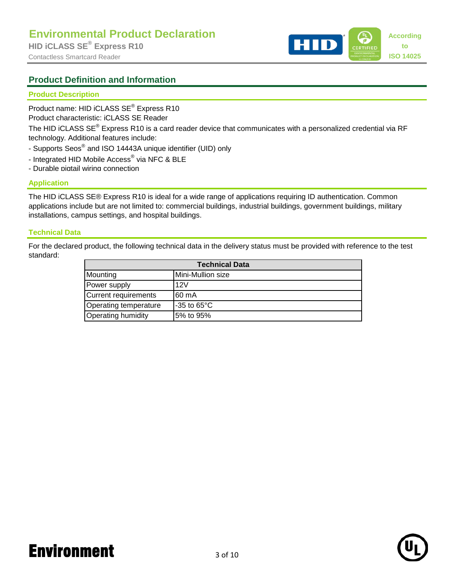### **Product Definition and Information**

### **Product Description**

Product name: HID iCLASS SE<sup>®</sup> Express R10

Product characteristic: iCLASS SE Reader

The HID iCLASS SE® Express R10 is a card reader device that communicates with a personalized credential via RF technology. Additional features include:

- Supports Seos® and ISO 14443A unique identifier (UID) only
- Integrated HID Mobile Access® via NFC & BLE
- Durable pigtail wiring connection

### **Application**

The HID iCLASS SE® Express R10 is ideal for a wide range of applications requiring ID authentication. Common applications include but are not limited to: commercial buildings, industrial buildings, government buildings, military installations, campus settings, and hospital buildings.

### **Technical Data**

For the declared product, the following technical data in the delivery status must be provided with reference to the test standard:

| <b>Technical Data</b> |                         |  |  |  |  |  |
|-----------------------|-------------------------|--|--|--|--|--|
| Mounting              | Mini-Mullion size       |  |  |  |  |  |
| Power supply          | 12V                     |  |  |  |  |  |
| Current requirements  | 160 mA                  |  |  |  |  |  |
| Operating temperature | $-35$ to 65 $\degree$ C |  |  |  |  |  |
| Operating humidity    | 5% to 95%               |  |  |  |  |  |

# Environment 3 of 10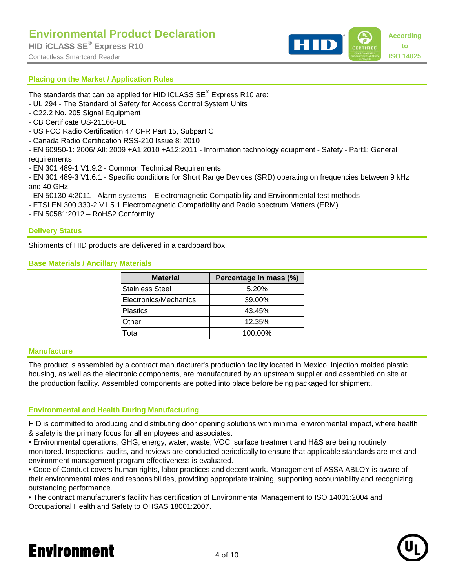

## **Placing on the Market / Application Rules**

The standards that can be applied for HID iCLASS  $SE^{\heartsuit}$  Express R10 are:

- UL 294 The Standard of Safety for Access Control System Units
- C22.2 No. 205 Signal Equipment
- CB Certificate US-21166-UL
- US FCC Radio Certification 47 CFR Part 15, Subpart C
- Canada Radio Certification RSS-210 Issue 8: 2010

- EN 60950-1: 2006/ All: 2009 +A1:2010 +A12:2011 - Information technology equipment - Safety - Part1: General requirements

- EN 301 489-1 V1.9.2 - Common Technical Requirements

- EN 301 489-3 V1.6.1 - Specific conditions for Short Range Devices (SRD) operating on frequencies between 9 kHz and 40 GHz

- EN 50130-4:2011 Alarm systems Electromagnetic Compatibility and Environmental test methods
- ETSI EN 300 330-2 V1.5.1 Electromagnetic Compatibility and Radio spectrum Matters (ERM)
- EN 50581:2012 RoHS2 Conformity

## **Delivery Status**

Shipments of HID products are delivered in a cardboard box.

**Base Materials / Ancillary Materials**

| <b>Material</b>        | Percentage in mass (%) |
|------------------------|------------------------|
| <b>Stainless Steel</b> | 5.20%                  |
| Electronics/Mechanics  | 39.00%                 |
| <b>Plastics</b>        | 43.45%                 |
| Other                  | 12.35%                 |
| Total                  | 100.00%                |

#### **Manufacture**

The product is assembled by a contract manufacturer's production facility located in Mexico. Injection molded plastic housing, as well as the electronic components, are manufactured by an upstream supplier and assembled on site at the production facility. Assembled components are potted into place before being packaged for shipment.

### **Environmental and Health During Manufacturing**

HID is committed to producing and distributing door opening solutions with minimal environmental impact, where health & safety is the primary focus for all employees and associates.

• Environmental operations, GHG, energy, water, waste, VOC, surface treatment and H&S are being routinely monitored. Inspections, audits, and reviews are conducted periodically to ensure that applicable standards are met and environment management program effectiveness is evaluated.

• Code of Conduct covers human rights, labor practices and decent work. Management of ASSA ABLOY is aware of their environmental roles and responsibilities, providing appropriate training, supporting accountability and recognizing outstanding performance.

• The contract manufacturer's facility has certification of Environmental Management to ISO 14001:2004 and Occupational Health and Safety to OHSAS 18001:2007.

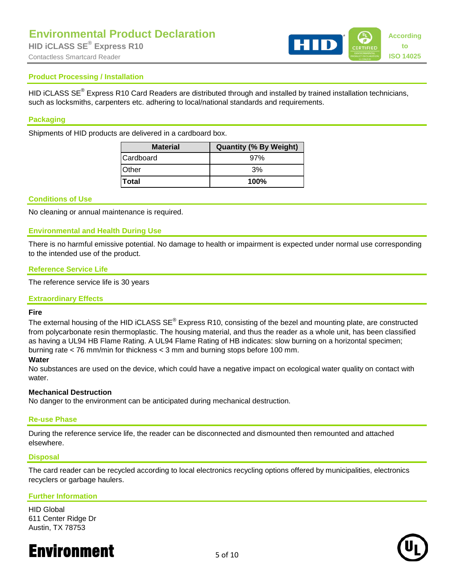

#### **Product Processing / Installation**

HID iCLASS SE<sup>®</sup> Express R10 Card Readers are distributed through and installed by trained installation technicians, such as locksmiths, carpenters etc. adhering to local/national standards and requirements.

#### **Packaging**

Shipments of HID products are delivered in a cardboard box.

| <b>Material</b> | <b>Quantity (% By Weight)</b> |  |  |  |  |  |  |
|-----------------|-------------------------------|--|--|--|--|--|--|
| Cardboard       | 97%                           |  |  |  |  |  |  |
| <b>Other</b>    | 3%                            |  |  |  |  |  |  |
| <b>Total</b>    | 100%                          |  |  |  |  |  |  |

#### **Conditions of Use**

No cleaning or annual maintenance is required.

#### **Environmental and Health During Use**

There is no harmful emissive potential. No damage to health or impairment is expected under normal use corresponding to the intended use of the product.

#### **Reference Service Life**

The reference service life is 30 years

#### **Extraordinary Effects**

#### **Fire**

The external housing of the HID iCLASS SE<sup>®</sup> Express R10, consisting of the bezel and mounting plate, are constructed from polycarbonate resin thermoplastic. The housing material, and thus the reader as a whole unit, has been classified as having a UL94 HB Flame Rating. A UL94 Flame Rating of HB indicates: slow burning on a horizontal specimen; burning rate < 76 mm/min for thickness < 3 mm and burning stops before 100 mm.

#### **Water**

No substances are used on the device, which could have a negative impact on ecological water quality on contact with water.

#### **Mechanical Destruction**

No danger to the environment can be anticipated during mechanical destruction.

#### **Re-use Phase**

During the reference service life, the reader can be disconnected and dismounted then remounted and attached elsewhere.

#### **Disposal**

The card reader can be recycled according to local electronics recycling options offered by municipalities, electronics recyclers or garbage haulers.

#### **Further Information**

HID Global 611 Center Ridge Dr Austin, TX 78753

# **Environment** 5 of 10

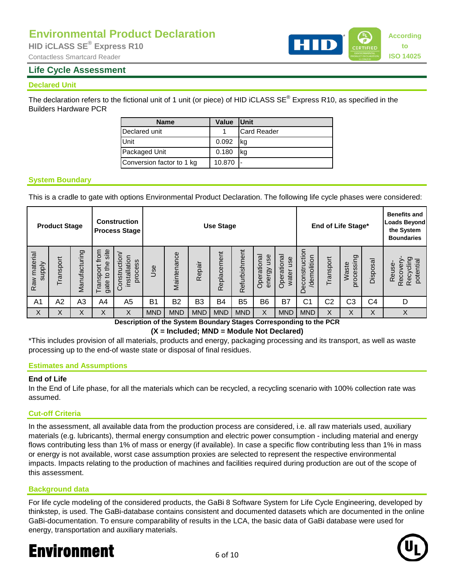## Contactless Smartcard Reader **ISO 14025 ISO 14025**

### **Life Cycle Assessment**

#### **Declared Unit**

The declaration refers to the fictional unit of 1 unit (or piece) of HID iCLASS SE® Express R10, as specified in the Builders Hardware PCR

| <b>Name</b>               | <b>Value</b> | <b>IUnit</b>       |
|---------------------------|--------------|--------------------|
| Declared unit             |              | <b>Card Reader</b> |
| Unit                      | 0.092        | ka                 |
| Packaged Unit             | 0.180        |                    |
| Conversion factor to 1 kg | 10.870       |                    |

### **System Boundary**

This is a cradle to gate with options Environmental Product Declaration. The following life cycle phases were considered:

|                              | <b>Product Stage</b> |                |                                               | <b>Construction</b><br><b>Process Stage</b> | <b>Use Stage</b> |                |                |             | End of Life Stage* |                              |                             | <b>Benefits and</b><br>Loads Beyond<br>the System<br><b>Boundaries</b> |                |                         |                |                                                       |
|------------------------------|----------------------|----------------|-----------------------------------------------|---------------------------------------------|------------------|----------------|----------------|-------------|--------------------|------------------------------|-----------------------------|------------------------------------------------------------------------|----------------|-------------------------|----------------|-------------------------------------------------------|
| Raw material<br><b>Addns</b> | Transport            | Manufacturing  | site<br>from<br>the<br>Transport<br>٩<br>gate | Construction<br>installation<br>process     | Jse              | Maintenance    | Repair         | Replacement | Refurbishment      | Operational<br>use<br>energy | Operational<br>use<br>water | econstruction<br>demolition<br>$\Box$                                  | Transport      | ၉<br>processir<br>Waste | Disposal       | ත<br>potentia<br>Recyclir<br><b>Recover</b><br>Reuse- |
| A <sub>1</sub>               | A2                   | A <sub>3</sub> | A4                                            | A5                                          | B <sub>1</sub>   | B <sub>2</sub> | B <sub>3</sub> | B4          | B <sub>5</sub>     | B <sub>6</sub>               | B7                          | C1                                                                     | C <sub>2</sub> | C <sub>3</sub>          | C <sub>4</sub> | D                                                     |
| X                            | X                    | X              | Χ                                             | X                                           | <b>MND</b>       | <b>MND</b>     | <b>MND</b>     | <b>MND</b>  | <b>MND</b>         | X                            | <b>MND</b>                  | <b>MND</b>                                                             | X              | X                       | X              | X                                                     |

**Description of the System Boundary Stages Corresponding to the PCR**

**(X = Included; MND = Module Not Declared)**

\*This includes provision of all materials, products and energy, packaging processing and its transport, as well as waste processing up to the end-of waste state or disposal of final residues.

#### **Estimates and Assumptions**

#### **End of Life**

In the End of Life phase, for all the materials which can be recycled, a recycling scenario with 100% collection rate was assumed.

#### **Cut-off Criteria**

In the assessment, all available data from the production process are considered, i.e. all raw materials used, auxiliary materials (e.g. lubricants), thermal energy consumption and electric power consumption - including material and energy flows contributing less than 1% of mass or energy (if available). In case a specific flow contributing less than 1% in mass or energy is not available, worst case assumption proxies are selected to represent the respective environmental impacts. Impacts relating to the production of machines and facilities required during production are out of the scope of this assessment.

#### **Background data**

For life cycle modeling of the considered products, the GaBi 8 Software System for Life Cycle Engineering, developed by thinkstep, is used. The GaBi-database contains consistent and documented datasets which are documented in the online GaBi-documentation. To ensure comparability of results in the LCA, the basic data of GaBi database were used for energy, transportation and auxiliary materials.

# **Environment** 6 of 10



**to**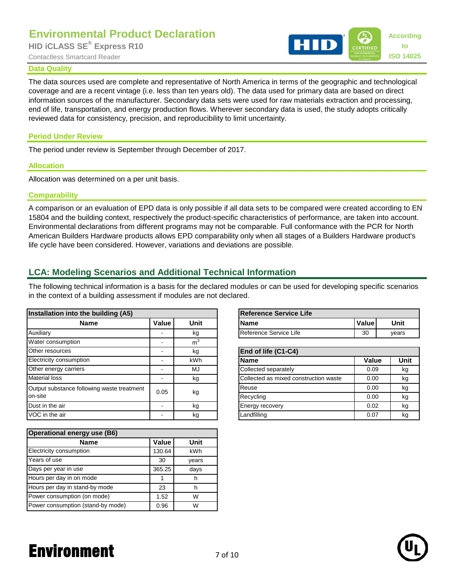#### **Data Quality**

**Environmental Product Declaration**<br>HID **CLASS SE<sup>®</sup> Express R10 to** Contactless Smartcard Reader **ISO 14025** 

The data sources used are complete and representative of North America in terms of the geographic and technological coverage and are a recent vintage (i.e. less than ten years old). The data used for primary data are based on direct information sources of the manufacturer. Secondary data sets were used for raw materials extraction and processing, end of life, transportation, and energy production flows. Wherever secondary data is used, the study adopts critically reviewed data for consistency, precision, and reproducibility to limit uncertainty.

### **Period Under Review**

The period under review is September through December of 2017.

#### **Allocation**

Allocation was determined on a per unit basis.

#### **Comparability**

A comparison or an evaluation of EPD data is only possible if all data sets to be compared were created according to EN 15804 and the building context, respectively the product-specific characteristics of performance, are taken into account. Environmental declarations from different programs may not be comparable. Full conformance with the PCR for North American Builders Hardware products allows EPD comparability only when all stages of a Builders Hardware product's life cycle have been considered. However, variations and deviations are possible.

## **LCA: Modeling Scenarios and Additional Technical Information**

The following technical information is a basis for the declared modules or can be used for developing specific scenarios in the context of a building assessment if modules are not declared.

| Installation into the building (A5)        |                                     |                | Reference Service Life                |       |       |
|--------------------------------------------|-------------------------------------|----------------|---------------------------------------|-------|-------|
| <b>Name</b>                                | Value<br><b>Unit</b><br><b>Name</b> |                |                                       | Value | Unit  |
| Auxiliary                                  |                                     | kg             | Reference Service Life                | 30    | years |
| Water consumption                          |                                     | m <sup>3</sup> |                                       |       |       |
| Other resources                            |                                     | kg             | End of life (C1-C4)                   |       |       |
| Electricity consumption                    |                                     | kWh            | <b>Name</b>                           | Value | Un    |
| Other energy carriers                      |                                     | MJ             | Collected separately                  | 0.09  | kç    |
| <b>Material loss</b>                       |                                     | kg             | Collected as mixed construction waste | 0.00  | kç    |
| Output substance following waste treatment | 0.05                                |                | Reuse                                 | 0.00  | kç    |
| on-site                                    |                                     | kg             | Recycling                             | 0.00  | kç    |
| Dust in the air                            | $\overline{\phantom{a}}$            | kg             | Energy recovery                       | 0.02  | kc    |
| VOC in the air                             |                                     | kg             | Landfilling                           | 0.07  | kç    |

| Operational energy use (B6)       |              |       |  |  |  |  |  |  |
|-----------------------------------|--------------|-------|--|--|--|--|--|--|
| <b>Name</b>                       | <b>Value</b> | Unit  |  |  |  |  |  |  |
| Electricity consumption           | 130.64       | kWh   |  |  |  |  |  |  |
| Years of use                      | 30           | years |  |  |  |  |  |  |
| Days per year in use              | 365.25       | days  |  |  |  |  |  |  |
| Hours per day in on mode          |              | h     |  |  |  |  |  |  |
| Hours per day in stand-by mode    | 23           | h     |  |  |  |  |  |  |
| Power consumption (on mode)       | 1.52         | W     |  |  |  |  |  |  |
| Power consumption (stand-by mode) | 0.96         | W     |  |  |  |  |  |  |

| <b>Reference Service Life</b> |              |       |  |  |  |  |  |
|-------------------------------|--------------|-------|--|--|--|--|--|
| <b>Name</b>                   | <b>Value</b> | Unit  |  |  |  |  |  |
| Reference Service Life        | 30           | vears |  |  |  |  |  |

| End of life (C1-C4)                   |       |      |  |  |  |  |  |  |  |
|---------------------------------------|-------|------|--|--|--|--|--|--|--|
| <b>Name</b>                           | Value | Unit |  |  |  |  |  |  |  |
| Collected separately                  | 0.09  | kg   |  |  |  |  |  |  |  |
| Collected as mixed construction waste | 0.00  | kg   |  |  |  |  |  |  |  |
| Reuse                                 | 0.00  | kg   |  |  |  |  |  |  |  |
| Recycling                             | 0.00  | kq   |  |  |  |  |  |  |  |
| Energy recovery                       | 0.02  | kg   |  |  |  |  |  |  |  |
| Landfilling                           | 0.07  | kg   |  |  |  |  |  |  |  |

# Environment 7 of 10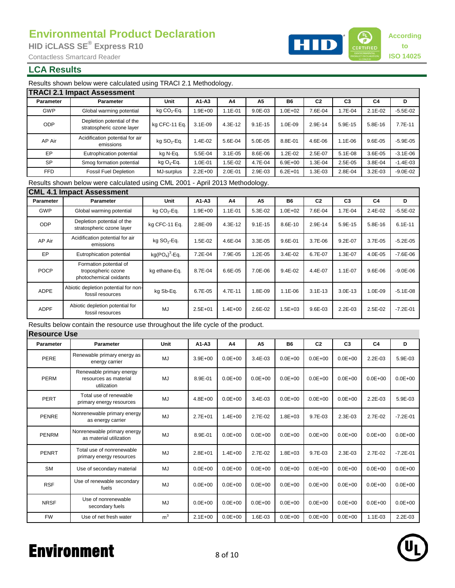

**to**

### **LCA Results**

Results shown below were calculated using TRACI 2.1 Methodology.

|            | <b>TRACI 2.1 Impact Assessment</b>                      |                |             |             |                |             |                |                |                |              |  |
|------------|---------------------------------------------------------|----------------|-------------|-------------|----------------|-------------|----------------|----------------|----------------|--------------|--|
| Parameter  | Parameter                                               | Unit           | $A1 - A3$   | A4          | A <sub>5</sub> | <b>B6</b>   | C <sub>2</sub> | C <sub>3</sub> | C <sub>4</sub> | D            |  |
| <b>GWP</b> | Global warming potential                                | kg $CO2$ -Eq.  | $.9E + 00$  | 1.1E-01     | $9.0E - 03$    | $.0E + 02$  | 7.6E-04        | 1.7E-04        | $2.1E-02$      | $-5.5E - 02$ |  |
| <b>ODP</b> | Depletion potential of the<br>stratospheric ozone layer | kg CFC-11 Eq.  | $3.1E-09$   | 4.3E-12     | $9.1E - 15$    | 1.0E-09     | 2.9E-14        | 5.9E-15        | 5.8E-16        | 7.7E-11      |  |
| AP Air     | Acidification potential for air<br>emissions            | kg $SO_2$ -Eq. | .4E-02      | 5.6E-04     | 5.0E-05        | 8.8E-01     | 4.6E-06        | 1.1E-06        | 9.6E-05        | $-5.9E - 05$ |  |
| EP         | Eutrophication potential                                | kg N-Eg.       | 5.5E-04     | $3.1E - 05$ | 8.6E-06        | $.2E-02$    | 2.5E-07        | $5.1E-08$      | 3.6E-05        | $-3.1E - 06$ |  |
| <b>SP</b>  | Smog formation potential                                | kg $O_3$ -Eq.  | 1.0E-01     | .5E-02      | 4.7E-04        | $6.9E + 00$ | 1.3E-04        | 2.5E-05        | 3.8E-04        | $-1.4E - 03$ |  |
| <b>FFD</b> | <b>Fossil Fuel Depletion</b>                            | MJ-surplus     | $2.2E + 00$ | 2.0E-01     | 2.9E-03        | $6.2E + 01$ | 1.3E-03        | 2.8E-04        | 3.2E-03        | $-9.0E - 02$ |  |

Results shown below were calculated using CML 2001 - April 2013 Methodology.

#### 4.0E-05 -7.6E-06 9.6E-06 -9.0E-06 7.9E-05 1.0E-09 -5.1E-08 2.5E-02 -7.2E-01 Abiotic depletion potential for c depietion potential for<br>
fossil resources MJ 2.5E+01 | 1.4E+00 | 2.6E-02 9.6E-03 2.2E-03 Eutrophication potential  $kg(PO<sub>4</sub>)<sup>3</sup>$ -Eq. 7.2E-04 kg CFC-11 Eq. | 2.8E-09 | 4.3E-12 | 9.1E-15 | 8.6E-10 | 2.9E-14 | 5.9E-15 **B6** 1.1E-01 5.3E-02 1.0E+02 7.6E-04 1.7E-04  $4.3E-12$ Parameter | Parameter | Unit |A1-A3 | A4 | A5 | B6 | C2 | C3 | C4 | D AP Air 4.6E-04 3.3E-05 3.7E-06 9.2E-07 3.7E-05 -5.2E-05 1.2E-05 3.4E-02 6.7E-07 1.3E-07 Acidification potential for air  $k$ g SO<sub>2</sub>-Eq.<br>
emissions  $kg$  SO<sub>2</sub>-Eq. POCP Formation potential of tropospheric ozone photochemical oxidants kg ethane-Eq. EP Abiotic depletion potential for non-<br>fossil resources fossil resources kg Sb-Eq. 6.7E-05 4.7E-11 1.8E-09 1.1E-06 3.1E-13 3.0E-13 1.9E+00 1.1E-06 1.5E+03 9.6E-01 3.4E-02 9.4E-02 1.5E-02 8.7E-04 6.6E-05 7.0E-06 4.4E-07 1.1E-07 6.7E-05 5.8E-16 6.1E-11 **Parameter Unit A1-A3 A4 A5 C2 C3 C4** Global warming potential | kg CO<sub>2</sub>-Eq. | 1.9E+00 | 1.1E-01 | 5.3E-02 | 1.0E+02 | 7.6E-04 | 1.7E-04 | 2.4E-02 | -5.5E-02 8.6E-10 kg CO<sub>2</sub>-Eq. **CML 4.1 Impact Assessment** GWP ODP Depletion potential of the stratospheric ozone layer

Results below contain the resource use throughout the life cycle of the product.

| <b>Parameter</b> | <b>Parameter</b>                                                 | Unit           | $A1 - A3$   | A4          | A <sub>5</sub> | <b>B6</b>    | C <sub>2</sub> | C <sub>3</sub> | C <sub>4</sub> | D            |
|------------------|------------------------------------------------------------------|----------------|-------------|-------------|----------------|--------------|----------------|----------------|----------------|--------------|
| PERE             | Renewable primary energy as<br>energy carrier                    | MJ             | $3.9E + 00$ | $0.0E + 00$ | $3.4E - 03$    | $0.0E + 00$  | $0.0E + 00$    | $0.0E + 00$    | 2.2E-03        | 5.9E-03      |
| <b>PERM</b>      | Renewable primary energy<br>resources as material<br>utilization | MJ             | 8.9E-01     | $0.0E + 00$ | $0.0E + 00$    | $0.0E + 00$  | $0.0E + 00$    | $0.0E + 00$    | $0.0E + 00$    | $0.0E + 00$  |
| <b>PERT</b>      | Total use of renewable<br>primary energy resources               | <b>MJ</b>      | $4.8E + 00$ | $0.0E + 00$ | $3.4E - 03$    | $0.0E + 00$  | $0.0E + 00$    | $0.0E + 00$    | 2.2E-03        | 5.9E-03      |
| PENRE            | Nonrenewable primary energy<br>as energy carrier                 | MJ             | $2.7E + 01$ | $1.4E + 00$ | 2.7E-02        | $1.8E + 03$  | 9.7E-03        | 2.3E-03        | 2.7E-02        | $-7.2E - 01$ |
| <b>PENRM</b>     | Nonrenewable primary energy<br>as material utilization           | MJ             | 8.9E-01     | $0.0E + 00$ | $0.0E + 00$    | $0.0E + 00$  | $0.0E + 00$    | $0.0E + 00$    | $0.0E + 00$    | $0.0E + 00$  |
| PENRT            | Total use of nonrenewable<br>primary energy resources            | <b>MJ</b>      | $2.8E + 01$ | $1.4E + 00$ | $2.7E - 02$    | $1.8E + 0.3$ | 9.7E-03        | $2.3E - 0.3$   | 2.7E-02        | $-7.2E - 01$ |
| <b>SM</b>        | Use of secondary material                                        | MJ             | $0.0E + 00$ | $0.0E + 00$ | $0.0E + 00$    | $0.0E + 00$  | $0.0E + 00$    | $0.0E + 00$    | $0.0E + 00$    | $0.0E + 00$  |
| <b>RSF</b>       | Use of renewable secondary<br>fuels                              | MJ             | $0.0E + 00$ | $0.0E + 00$ | $0.0E + 00$    | $0.0E + 00$  | $0.0E + 00$    | $0.0E + 00$    | $0.0E + 00$    | $0.0E + 00$  |
| <b>NRSF</b>      | Use of nonrenewable<br>secondary fuels                           | <b>MJ</b>      | $0.0E + 00$ | $0.0E + 00$ | $0.0E + 00$    | $0.0E + 00$  | $0.0E + 00$    | $0.0E + 00$    | $0.0E + 00$    | $0.0E + 00$  |
| <b>FW</b>        | Use of net fresh water                                           | m <sup>3</sup> | $2.1E + 00$ | $0.0E + 00$ | 1.6E-03        | $0.0E + 00$  | $0.0E + 00$    | $0.0E + 00$    | $1.1E - 03$    | $2.2E-03$    |

# Environment 8 of 10

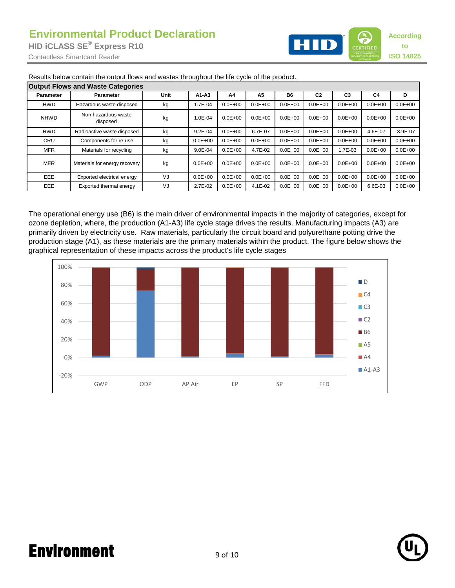

| <b>Output Flows and Waste Categories</b> |                                 |      |             |             |             |             |                |                |                |              |  |
|------------------------------------------|---------------------------------|------|-------------|-------------|-------------|-------------|----------------|----------------|----------------|--------------|--|
| Parameter                                | <b>Parameter</b>                | Unit | $A1 - A3$   | A4          | A5          | <b>B6</b>   | C <sub>2</sub> | C <sub>3</sub> | C <sub>4</sub> | D            |  |
| HWD                                      | Hazardous waste disposed        | kg   | .7E-04      | $0.0E + 00$ | $0.0E + 00$ | $0.0E + 00$ | $0.0E + 00$    | $0.0E + 00$    | $0.0E + 00$    | $0.0E + 00$  |  |
| <b>NHWD</b>                              | Non-hazardous waste<br>disposed | kg   | $1.0E - 04$ | $0.0E + 00$ | $0.0E + 00$ | $0.0E + 00$ | $0.0E + 00$    | $0.0E + 00$    | $0.0E + 00$    | $0.0E + 00$  |  |
| <b>RWD</b>                               | Radioactive waste disposed      | kg   | $9.2E - 04$ | $0.0E + 00$ | 6.7E-07     | $0.0E + 00$ | $0.0E + 00$    | $0.0E + 00$    | 4.6E-07        | $-3.9E - 07$ |  |
| CRU<br><b>MFR</b>                        | Components for re-use           | kg   | $0.0E + 00$ | $0.0E + 00$ | $0.0E + 00$ | $0.0E + 00$ | $0.0E + 00$    | $0.0E + 00$    | $0.0E + 00$    | $0.0E + 00$  |  |
|                                          | Materials for recycling         | kg   | $9.0E - 04$ | $0.0E + 00$ | 4.7E-02     | $0.0E + 00$ | $0.0E + 00$    | 1.7E-03        | $0.0E + 00$    | $0.0E + 00$  |  |
| <b>MER</b>                               | Materials for energy recovery   | kg   | $0.0E + 00$ | $0.0E + 00$ | $0.0E + 00$ | $0.0E + 00$ | $0.0E + 00$    | $0.0E + 00$    | $0.0E + 00$    | $0.0E + 00$  |  |
| EEE                                      | Exported electrical energy      | MJ   | $0.0E + 00$ | $0.0E + 00$ | $0.0E + 00$ | $0.0E + 00$ | $0.0E + 00$    | $0.0E + 00$    | $0.0E + 00$    | $0.0E + 00$  |  |
| EEE                                      | Exported thermal energy         | MJ   | 2.7E-02     | $0.0E + 00$ | 4.1E-02     | $0.0E + 00$ | $0.0E + 00$    | $0.0E + 00$    | 6.6E-03        | $0.0E + 00$  |  |

Results below contain the output flows and wastes throughout the life cycle of the product.

The operational energy use (B6) is the main driver of environmental impacts in the majority of categories, except for ozone depletion, where, the production (A1-A3) life cycle stage drives the results. Manufacturing impacts (A3) are primarily driven by electricity use. Raw materials, particularly the circuit board and polyurethane potting drive the production stage (A1), as these materials are the primary materials within the product. The figure below shows the graphical representation of these impacts across the product's life cycle stages





# Environment 9 of 10